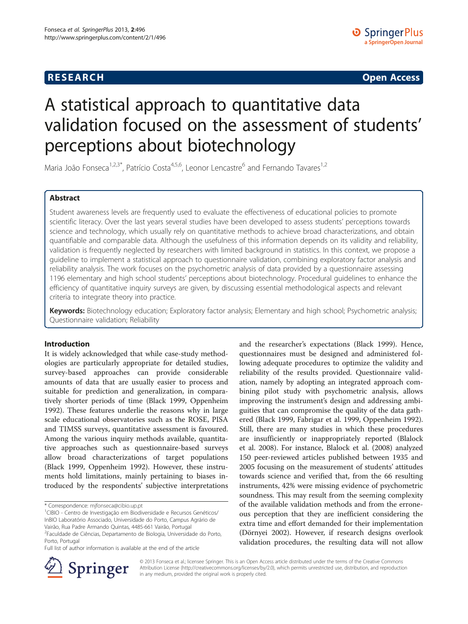# **RESEARCH CHE Open Access**

# A statistical approach to quantitative data validation focused on the assessment of students' perceptions about biotechnology

Maria João Fonseca<sup>1,2,3\*</sup>, Patrício Costa<sup>4,5,6</sup>, Leonor Lencastre<sup>6</sup> and Fernando Tavares<sup>1,2</sup>

# Abstract

Student awareness levels are frequently used to evaluate the effectiveness of educational policies to promote scientific literacy. Over the last years several studies have been developed to assess students' perceptions towards science and technology, which usually rely on quantitative methods to achieve broad characterizations, and obtain quantifiable and comparable data. Although the usefulness of this information depends on its validity and reliability, validation is frequently neglected by researchers with limited background in statistics. In this context, we propose a guideline to implement a statistical approach to questionnaire validation, combining exploratory factor analysis and reliability analysis. The work focuses on the psychometric analysis of data provided by a questionnaire assessing 1196 elementary and high school students' perceptions about biotechnology. Procedural guidelines to enhance the efficiency of quantitative inquiry surveys are given, by discussing essential methodological aspects and relevant criteria to integrate theory into practice.

Keywords: Biotechnology education; Exploratory factor analysis; Elementary and high school; Psychometric analysis; Questionnaire validation; Reliability

#### Introduction

It is widely acknowledged that while case-study methodologies are particularly appropriate for detailed studies, survey-based approaches can provide considerable amounts of data that are usually easier to process and suitable for prediction and generalization, in comparatively shorter periods of time (Black [1999,](#page-11-0) Oppenheim [1992](#page-11-0)). These features underlie the reasons why in large scale educational observatories such as the ROSE, PISA and TIMSS surveys, quantitative assessment is favoured. Among the various inquiry methods available, quantitative approaches such as questionnaire-based surveys allow broad characterizations of target populations (Black [1999](#page-11-0), Oppenheim [1992](#page-11-0)). However, these instruments hold limitations, mainly pertaining to biases introduced by the respondents' subjective interpretations

Full list of author information is available at the end of the article

and the researcher's expectations (Black [1999](#page-11-0)). Hence, questionnaires must be designed and administered following adequate procedures to optimize the validity and reliability of the results provided. Questionnaire validation, namely by adopting an integrated approach combining pilot study with psychometric analysis, allows improving the instrument's design and addressing ambiguities that can compromise the quality of the data gathered (Black [1999](#page-11-0), Fabrigar et al. [1999](#page-11-0), Oppenheim [1992](#page-11-0)). Still, there are many studies in which these procedures are insufficiently or inappropriately reported (Blalock et al. [2008\)](#page-11-0). For instance, Blalock et al. ([2008](#page-11-0)) analyzed 150 peer-reviewed articles published between 1935 and 2005 focusing on the measurement of students' attitudes towards science and verified that, from the 66 resulting instruments, 42% were missing evidence of psychometric soundness. This may result from the seeming complexity of the available validation methods and from the erroneous perception that they are inefficient considering the extra time and effort demanded for their implementation (Dörnyei [2002](#page-11-0)). However, if research designs overlook validation procedures, the resulting data will not allow



© 2013 Fonseca et al.; licensee Springer. This is an Open Access article distributed under the terms of the Creative Commons Attribution License [\(http://creativecommons.org/licenses/by/2.0\)](http://creativecommons.org/licenses/by/2.0), which permits unrestricted use, distribution, and reproduction in any medium, provided the original work is properly cited.

<sup>\*</sup> Correspondence: [mjfonseca@cibio.up.pt](mailto:mjfonseca@cibio.up.pt) <sup>1</sup>

CIBIO - Centro de Investigação em Biodiversidade e Recursos Genéticos/ InBIO Laboratório Associado, Universidade do Porto, Campus Agrário de Vairão, Rua Padre Armando Quintas, 4485-661 Vairão, Portugal 2 Faculdade de Ciências, Departamento de Biologia, Universidade do Porto, Porto, Portugal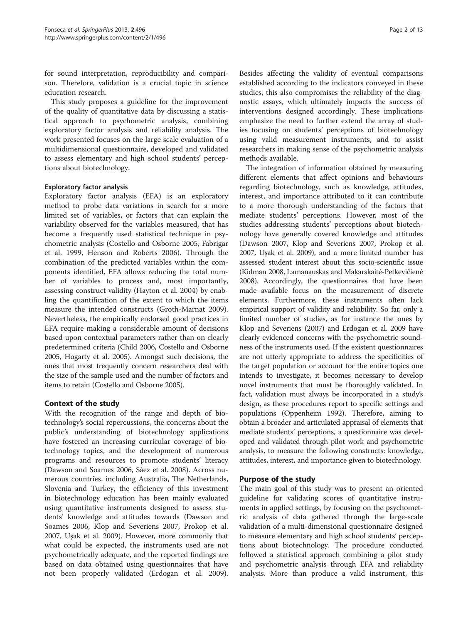for sound interpretation, reproducibility and comparison. Therefore, validation is a crucial topic in science education research.

This study proposes a guideline for the improvement of the quality of quantitative data by discussing a statistical approach to psychometric analysis, combining exploratory factor analysis and reliability analysis. The work presented focuses on the large scale evaluation of a multidimensional questionnaire, developed and validated to assess elementary and high school students' perceptions about biotechnology.

#### Exploratory factor analysis

Exploratory factor analysis (EFA) is an exploratory method to probe data variations in search for a more limited set of variables, or factors that can explain the variability observed for the variables measured, that has become a frequently used statistical technique in psychometric analysis (Costello and Osborne [2005,](#page-11-0) Fabrigar et al. [1999,](#page-11-0) Henson and Roberts [2006\)](#page-11-0). Through the combination of the predicted variables within the components identified, EFA allows reducing the total number of variables to process and, most importantly, assessing construct validity (Hayton et al. [2004\)](#page-11-0) by enabling the quantification of the extent to which the items measure the intended constructs (Groth-Marnat [2009](#page-11-0)). Nevertheless, the empirically endorsed good practices in EFA require making a considerable amount of decisions based upon contextual parameters rather than on clearly predetermined criteria (Child [2006](#page-11-0), Costello and Osborne [2005,](#page-11-0) Hogarty et al. [2005](#page-11-0)). Amongst such decisions, the ones that most frequently concern researchers deal with the size of the sample used and the number of factors and items to retain (Costello and Osborne [2005](#page-11-0)).

# Context of the study

With the recognition of the range and depth of biotechnology's social repercussions, the concerns about the public's understanding of biotechnology applications have fostered an increasing curricular coverage of biotechnology topics, and the development of numerous programs and resources to promote students' literacy (Dawson and Soames [2006,](#page-11-0) Sáez et al. [2008\)](#page-12-0). Across numerous countries, including Australia, The Netherlands, Slovenia and Turkey, the efficiency of this investment in biotechnology education has been mainly evaluated using quantitative instruments designed to assess students' knowledge and attitudes towards (Dawson and Soames [2006](#page-11-0), Klop and Severiens [2007,](#page-11-0) Prokop et al. [2007](#page-11-0), Uşak et al. [2009\)](#page-12-0). However, more commonly that what could be expected, the instruments used are not psychometrically adequate, and the reported findings are based on data obtained using questionnaires that have not been properly validated (Erdogan et al. [2009](#page-11-0)).

Besides affecting the validity of eventual comparisons established according to the indicators conveyed in these studies, this also compromises the reliability of the diagnostic assays, which ultimately impacts the success of interventions designed accordingly. These implications emphasize the need to further extend the array of studies focusing on students' perceptions of biotechnology using valid measurement instruments, and to assist researchers in making sense of the psychometric analysis methods available.

The integration of information obtained by measuring different elements that affect opinions and behaviours regarding biotechnology, such as knowledge, attitudes, interest, and importance attributed to it can contribute to a more thorough understanding of the factors that mediate students' perceptions. However, most of the studies addressing students' perceptions about biotechnology have generally covered knowledge and attitudes (Dawson [2007,](#page-11-0) Klop and Severiens [2007,](#page-11-0) Prokop et al. [2007,](#page-11-0) Uşak et al. [2009\)](#page-12-0), and a more limited number has assessed student interest about this socio-scientific issue (Kidman [2008,](#page-11-0) Lamanauskas and Makarskaitė-Petkevičienė [2008](#page-11-0)). Accordingly, the questionnaires that have been made available focus on the measurement of discrete elements. Furthermore, these instruments often lack empirical support of validity and reliability. So far, only a limited number of studies, as for instance the ones by Klop and Severiens ([2007](#page-11-0)) and Erdogan et al. [2009](#page-11-0) have clearly evidenced concerns with the psychometric soundness of the instruments used. If the existent questionnaires are not utterly appropriate to address the specificities of the target population or account for the entire topics one intends to investigate, it becomes necessary to develop novel instruments that must be thoroughly validated. In fact, validation must always be incorporated in a study's design, as these procedures report to specific settings and populations (Oppenheim [1992](#page-11-0)). Therefore, aiming to obtain a broader and articulated appraisal of elements that mediate students' perceptions, a questionnaire was developed and validated through pilot work and psychometric analysis, to measure the following constructs: knowledge, attitudes, interest, and importance given to biotechnology.

# Purpose of the study

The main goal of this study was to present an oriented guideline for validating scores of quantitative instruments in applied settings, by focusing on the psychometric analysis of data gathered through the large-scale validation of a multi-dimensional questionnaire designed to measure elementary and high school students' perceptions about biotechnology. The procedure conducted followed a statistical approach combining a pilot study and psychometric analysis through EFA and reliability analysis. More than produce a valid instrument, this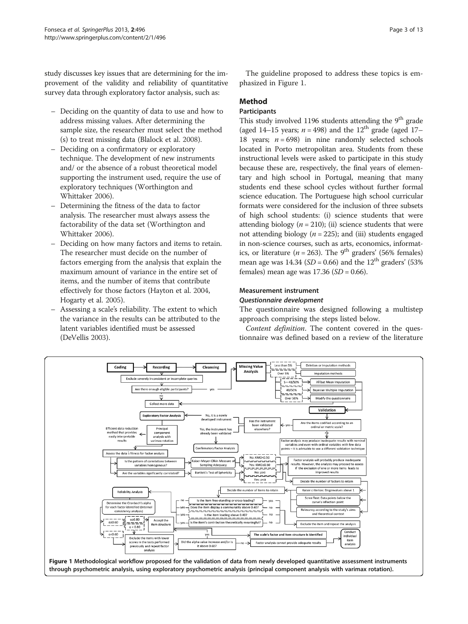<span id="page-2-0"></span>study discusses key issues that are determining for the improvement of the validity and reliability of quantitative survey data through exploratory factor analysis, such as:

- Deciding on the quantity of data to use and how to address missing values. After determining the sample size, the researcher must select the method (s) to treat missing data (Blalock et al. [2008\)](#page-11-0).
- Deciding on a confirmatory or exploratory technique. The development of new instruments and/ or the absence of a robust theoretical model supporting the instrument used, require the use of exploratory techniques (Worthington and Whittaker [2006\)](#page-12-0).
- Determining the fitness of the data to factor analysis. The researcher must always assess the factorability of the data set (Worthington and Whittaker [2006\)](#page-12-0).
- Deciding on how many factors and items to retain. The researcher must decide on the number of factors emerging from the analysis that explain the maximum amount of variance in the entire set of items, and the number of items that contribute effectively for those factors (Hayton et al. [2004](#page-11-0), Hogarty et al. [2005\)](#page-11-0).
- Assessing a scale's reliability. The extent to which the variance in the results can be attributed to the latent variables identified must be assessed (DeVellis [2003\)](#page-11-0).

The guideline proposed to address these topics is emphasized in Figure 1.

# Method

#### **Participants**

This study involved 1196 students attending the  $9<sup>th</sup>$  grade (aged 14–15 years;  $n = 498$ ) and the 12<sup>th</sup> grade (aged 17– 18 years;  $n = 698$ ) in nine randomly selected schools located in Porto metropolitan area. Students from these instructional levels were asked to participate in this study because these are, respectively, the final years of elementary and high school in Portugal, meaning that many students end these school cycles without further formal science education. The Portuguese high school curricular formats were considered for the inclusion of three subsets of high school students: (i) science students that were attending biology ( $n = 210$ ); (ii) science students that were not attending biology ( $n = 225$ ); and (iii) students engaged in non-science courses, such as arts, economics, informatics, or literature ( $n = 263$ ). The 9<sup>th</sup> graders' (56% females) mean age was 14.34 ( $SD = 0.66$ ) and the 12<sup>th</sup> graders' (53%) females) mean age was  $17.36$  (SD = 0.66).

#### Measurement instrument Questionnaire development

The questionnaire was designed following a multistep approach comprising the steps listed below.

Content definition. The content covered in the questionnaire was defined based on a review of the literature

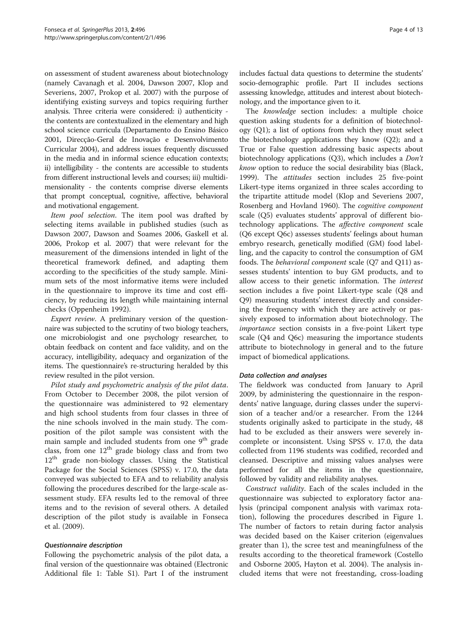on assessment of student awareness about biotechnology (namely Cavanagh et al. [2004](#page-11-0), Dawson [2007](#page-11-0), Klop and Severiens, [2007](#page-11-0), Prokop et al. [2007](#page-11-0)) with the purpose of identifying existing surveys and topics requiring further analysis. Three criteria were considered: i) authenticity the contents are contextualized in the elementary and high school science curricula (Departamento do Ensino Básico [2001,](#page-11-0) Direcção-Geral de Inovação e Desenvolvimento Curricular [2004\)](#page-11-0), and address issues frequently discussed in the media and in informal science education contexts; ii) intelligibility - the contents are accessible to students from different instructional levels and courses; iii) multidimensionality - the contents comprise diverse elements that prompt conceptual, cognitive, affective, behavioral and motivational engagement.

Item pool selection. The item pool was drafted by selecting items available in published studies (such as Dawson [2007](#page-11-0), Dawson and Soames [2006,](#page-11-0) Gaskell et al. [2006](#page-11-0), Prokop et al. [2007\)](#page-11-0) that were relevant for the measurement of the dimensions intended in light of the theoretical framework defined, and adapting them according to the specificities of the study sample. Minimum sets of the most informative items were included in the questionnaire to improve its time and cost efficiency, by reducing its length while maintaining internal checks (Oppenheim [1992](#page-11-0)).

Expert review. A preliminary version of the questionnaire was subjected to the scrutiny of two biology teachers, one microbiologist and one psychology researcher, to obtain feedback on content and face validity, and on the accuracy, intelligibility, adequacy and organization of the items. The questionnaire's re-structuring heralded by this review resulted in the pilot version.

Pilot study and psychometric analysis of the pilot data. From October to December 2008, the pilot version of the questionnaire was administered to 92 elementary and high school students from four classes in three of the nine schools involved in the main study. The composition of the pilot sample was consistent with the main sample and included students from one 9<sup>th</sup> grade class, from one  $12<sup>th</sup>$  grade biology class and from two 12<sup>th</sup> grade non-biology classes. Using the Statistical Package for the Social Sciences (SPSS) v. 17.0, the data conveyed was subjected to EFA and to reliability analysis following the procedures described for the large-scale assessment study. EFA results led to the removal of three items and to the revision of several others. A detailed description of the pilot study is available in Fonseca et al. [\(2009](#page-11-0)).

#### Questionnaire description

Following the psychometric analysis of the pilot data, a final version of the questionnaire was obtained (Electronic Additional file [1](#page-10-0): Table S1). Part I of the instrument includes factual data questions to determine the students' socio-demographic profile. Part II includes sections assessing knowledge, attitudes and interest about biotechnology, and the importance given to it.

The knowledge section includes: a multiple choice question asking students for a definition of biotechnology (Q1); a list of options from which they must select the biotechnology applications they know (Q2); and a True or False question addressing basic aspects about biotechnology applications (Q3), which includes a Don't know option to reduce the social desirability bias (Black, [1999](#page-11-0)). The attitudes section includes 25 five-point Likert-type items organized in three scales according to the tripartite attitude model (Klop and Severiens [2007](#page-11-0), Rosenberg and Hovland [1960](#page-12-0)). The cognitive component scale (Q5) evaluates students' approval of different biotechnology applications. The affective component scale (Q6 except Q6c) assesses students' feelings about human embryo research, genetically modified (GM) food labelling, and the capacity to control the consumption of GM foods. The behavioral component scale (Q7 and Q11) assesses students' intention to buy GM products, and to allow access to their genetic information. The interest section includes a five point Likert-type scale (Q8 and Q9) measuring students' interest directly and considering the frequency with which they are actively or passively exposed to information about biotechnology. The importance section consists in a five-point Likert type scale (Q4 and Q6c) measuring the importance students attribute to biotechnology in general and to the future impact of biomedical applications.

#### Data collection and analyses

The fieldwork was conducted from January to April 2009, by administering the questionnaire in the respondents' native language, during classes under the supervision of a teacher and/or a researcher. From the 1244 students originally asked to participate in the study, 48 had to be excluded as their answers were severely incomplete or inconsistent. Using SPSS v. 17.0, the data collected from 1196 students was codified, recorded and cleansed. Descriptive and missing values analyses were performed for all the items in the questionnaire, followed by validity and reliability analyses.

Construct validity. Each of the scales included in the questionnaire was subjected to exploratory factor analysis (principal component analysis with varimax rotation), following the procedures described in Figure [1](#page-2-0). The number of factors to retain during factor analysis was decided based on the Kaiser criterion (eigenvalues greater than 1), the scree test and meaningfulness of the results according to the theoretical framework (Costello and Osborne [2005](#page-11-0), Hayton et al. [2004\)](#page-11-0). The analysis included items that were not freestanding, cross-loading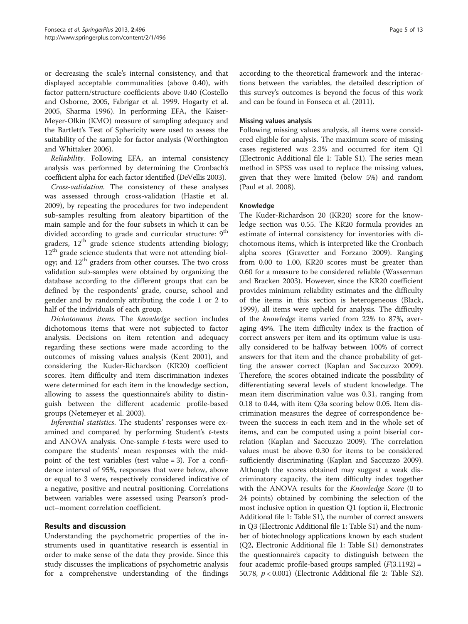or decreasing the scale's internal consistency, and that displayed acceptable communalities (above 0.40), with factor pattern/structure coefficients above 0.40 (Costello and Osborne, [2005](#page-11-0), Fabrigar et al. [1999.](#page-11-0) Hogarty et al. [2005](#page-11-0), Sharma [1996\)](#page-12-0). In performing EFA, the Kaiser-Meyer-Olkin (KMO) measure of sampling adequacy and the Bartlett's Test of Sphericity were used to assess the suitability of the sample for factor analysis (Worthington and Whittaker [2006\)](#page-12-0).

Reliability. Following EFA, an internal consistency analysis was performed by determining the Cronbach's coefficient alpha for each factor identified (DeVellis [2003\)](#page-11-0).

Cross-validation. The consistency of these analyses was assessed through cross-validation (Hastie et al. [2009](#page-11-0)), by repeating the procedures for two independent sub-samples resulting from aleatory bipartition of the main sample and for the four subsets in which it can be divided according to grade and curricular structure: 9<sup>th</sup> graders, 12<sup>th</sup> grade science students attending biology; 12<sup>th</sup> grade science students that were not attending biology; and 12th graders from other courses. The two cross validation sub-samples were obtained by organizing the database according to the different groups that can be defined by the respondents' grade, course, school and gender and by randomly attributing the code 1 or 2 to half of the individuals of each group.

Dichotomous items. The knowledge section includes dichotomous items that were not subjected to factor analysis. Decisions on item retention and adequacy regarding these sections were made according to the outcomes of missing values analysis (Kent [2001\)](#page-11-0), and considering the Kuder-Richardson (KR20) coefficient scores. Item difficulty and item discrimination indexes were determined for each item in the knowledge section, allowing to assess the questionnaire's ability to distinguish between the different academic profile-based groups (Netemeyer et al. [2003](#page-11-0)).

Inferential statistics. The students' responses were examined and compared by performing Student's t-tests and ANOVA analysis. One-sample t-tests were used to compare the students' mean responses with the midpoint of the test variables (test value = 3). For a confidence interval of 95%, responses that were below, above or equal to 3 were, respectively considered indicative of a negative, positive and neutral positioning. Correlations between variables were assessed using Pearson's product–moment correlation coefficient.

# Results and discussion

Understanding the psychometric properties of the instruments used in quantitative research is essential in order to make sense of the data they provide. Since this study discusses the implications of psychometric analysis for a comprehensive understanding of the findings according to the theoretical framework and the interactions between the variables, the detailed description of this survey's outcomes is beyond the focus of this work and can be found in Fonseca et al. [\(2011](#page-11-0)).

#### Missing values analysis

Following missing values analysis, all items were considered eligible for analysis. The maximum score of missing cases registered was 2.3% and occurred for item Q1 (Electronic Additional file [1](#page-10-0): Table S1). The series mean method in SPSS was used to replace the missing values, given that they were limited (below 5%) and random (Paul et al. [2008\)](#page-11-0).

#### Knowledge

The Kuder-Richardson 20 (KR20) score for the knowledge section was 0.55. The KR20 formula provides an estimate of internal consistency for inventories with dichotomous items, which is interpreted like the Cronbach alpha scores (Gravetter and Forzano [2009\)](#page-11-0). Ranging from 0.00 to 1.00, KR20 scores must be greater than 0.60 for a measure to be considered reliable (Wasserman and Bracken [2003\)](#page-12-0). However, since the KR20 coefficient provides minimum reliability estimates and the difficulty of the items in this section is heterogeneous (Black, [1999](#page-11-0)), all items were upheld for analysis. The difficulty of the knowledge items varied from 22% to 87%, averaging 49%. The item difficulty index is the fraction of correct answers per item and its optimum value is usually considered to be halfway between 100% of correct answers for that item and the chance probability of getting the answer correct (Kaplan and Saccuzzo [2009](#page-11-0)). Therefore, the scores obtained indicate the possibility of differentiating several levels of student knowledge. The mean item discrimination value was 0.31, ranging from 0.18 to 0.44, with item Q3a scoring below 0.05. Item discrimination measures the degree of correspondence between the success in each item and in the whole set of items, and can be computed using a point biserial correlation (Kaplan and Saccuzzo [2009\)](#page-11-0). The correlation values must be above 0.30 for items to be considered sufficiently discriminating (Kaplan and Saccuzzo [2009](#page-11-0)). Although the scores obtained may suggest a weak discriminatory capacity, the item difficulty index together with the ANOVA results for the *Knowledge Score* (0 to 24 points) obtained by combining the selection of the most inclusive option in question Q1 (option ii, Electronic Additional file [1](#page-10-0): Table S1), the number of correct answers in Q3 (Electronic Additional file [1](#page-10-0): Table S1) and the number of biotechnology applications known by each student (Q2, Electronic Additional file [1](#page-10-0): Table S1) demonstrates the questionnaire's capacity to distinguish between the four academic profile-based groups sampled  $(F(3.1192) =$ 50.78,  $p < 0.001$ ) (Electronic Additional file [2](#page-10-0): Table S2).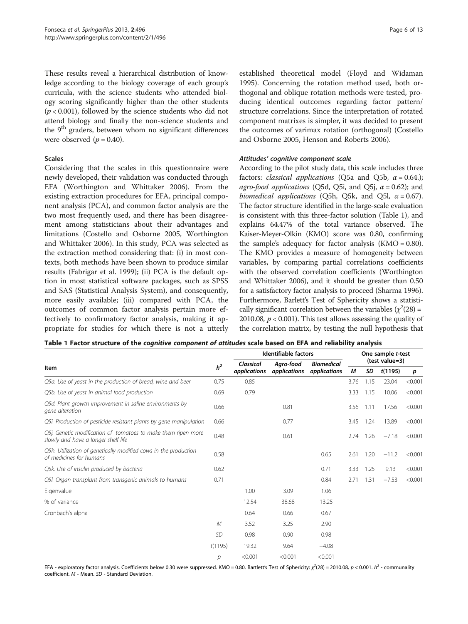<span id="page-5-0"></span>These results reveal a hierarchical distribution of knowledge according to the biology coverage of each group's curricula, with the science students who attended biology scoring significantly higher than the other students  $(p < 0.001)$ , followed by the science students who did not attend biology and finally the non-science students and the  $9<sup>th</sup>$  graders, between whom no significant differences were observed  $(p = 0.40)$ .

#### Scales

Considering that the scales in this questionnaire were newly developed, their validation was conducted through EFA (Worthington and Whittaker [2006\)](#page-12-0). From the existing extraction procedures for EFA, principal component analysis (PCA), and common factor analysis are the two most frequently used, and there has been disagreement among statisticians about their advantages and limitations (Costello and Osborne [2005](#page-11-0), Worthington and Whittaker [2006](#page-12-0)). In this study, PCA was selected as the extraction method considering that: (i) in most contexts, both methods have been shown to produce similar results (Fabrigar et al. [1999](#page-11-0)); (ii) PCA is the default option in most statistical software packages, such as SPSS and SAS (Statistical Analysis System), and consequently, more easily available; (iii) compared with PCA, the outcomes of common factor analysis pertain more effectively to confirmatory factor analysis, making it appropriate for studies for which there is not a utterly

established theoretical model (Floyd and Widaman [1995](#page-11-0)). Concerning the rotation method used, both orthogonal and oblique rotation methods were tested, producing identical outcomes regarding factor pattern/ structure correlations. Since the interpretation of rotated component matrixes is simpler, it was decided to present the outcomes of varimax rotation (orthogonal) (Costello and Osborne [2005](#page-11-0), Henson and Roberts [2006](#page-11-0)).

#### Attitudes' cognitive component scale

According to the pilot study data, this scale includes three factors: *classical applications* (Q5a and Q5b,  $\alpha$  = 0.64.); agro-food applications ( $O5d$ ,  $O5i$ , and  $O5i$ ,  $\alpha = 0.62$ ); and biomedical applications (Q5h, Q5k, and Q5l,  $\alpha = 0.67$ ). The factor structure identified in the large-scale evaluation is consistent with this three-factor solution (Table 1), and explains 64.47% of the total variance observed. The Kaiser-Meyer-Olkin (KMO) score was 0.80, confirming the sample's adequacy for factor analysis  $(KMO = 0.80)$ . The KMO provides a measure of homogeneity between variables, by comparing partial correlations coefficients with the observed correlation coefficients (Worthington and Whittaker [2006](#page-12-0)), and it should be greater than 0.50 for a satisfactory factor analysis to proceed (Sharma [1996](#page-12-0)). Furthermore, Barlett's Test of Sphericity shows a statistically significant correlation between the variables ( $\chi^2(28)$  = 2010.08,  $p < 0.001$ ). This test allows assessing the quality of the correlation matrix, by testing the null hypothesis that

| Table 1 Factor structure of the cognitive component of attitudes scale based on EFA and reliability analysis |  |  |
|--------------------------------------------------------------------------------------------------------------|--|--|
|--------------------------------------------------------------------------------------------------------------|--|--|

|                                                                                                      |                | Identifiable factors | One sample t-test |                   |                |      |         |         |  |
|------------------------------------------------------------------------------------------------------|----------------|----------------------|-------------------|-------------------|----------------|------|---------|---------|--|
| Item                                                                                                 | h <sup>2</sup> | Classical            | Agro-food         | <b>Biomedical</b> | (test value=3) |      |         |         |  |
|                                                                                                      |                | applications         | applications      | applications      | М              | SD   | t(1195) | p       |  |
| Q5a. Use of yeast in the production of bread, wine and beer                                          | 0.75           | 0.85                 |                   |                   | 3.76           | 1.15 | 23.04   | < 0.001 |  |
| Q5b. Use of yeast in animal food production                                                          | 0.69           | 0.79                 |                   |                   | 3.33           | 1.15 | 10.06   | < 0.001 |  |
| Q5d. Plant growth improvement in saline environments by<br>gene alteration                           | 0.66           |                      | 0.81              |                   | 3.56           | 1.11 | 17.56   | < 0.001 |  |
| Q5i. Production of pesticide resistant plants by gene manipulation                                   | 0.66           |                      | 0.77              |                   | 3.45           | 1.24 | 13.89   | < 0.001 |  |
| Q5j. Genetic modification of tomatoes to make them ripen more<br>slowly and have a longer shelf life | 0.48           |                      | 0.61              |                   | 2.74           | 1.26 | $-7.18$ | < 0.001 |  |
| Q5h. Utilization of genetically modified cows in the production<br>of medicines for humans           | 0.58           |                      |                   | 0.65              | 2.61           | 1.20 | $-11.2$ | < 0.001 |  |
| Q5k. Use of insulin produced by bacteria                                                             | 0.62           |                      |                   | 0.71              | 3.33           | 1.25 | 9.13    | < 0.001 |  |
| Q5I. Organ transplant from transgenic animals to humans                                              | 0.71           |                      |                   | 0.84              | 2.71           | 1.31 | $-7.53$ | < 0.001 |  |
| Eigenvalue                                                                                           |                | 1.00                 | 3.09              | 1.06              |                |      |         |         |  |
| % of variance                                                                                        |                | 12.54                | 38.68             | 13.25             |                |      |         |         |  |
| Cronbach's alpha                                                                                     |                | 0.64                 | 0.66              | 0.67              |                |      |         |         |  |
|                                                                                                      | M              | 3.52                 | 3.25              | 2.90              |                |      |         |         |  |
|                                                                                                      | <b>SD</b>      | 0.98                 | 0.90              | 0.98              |                |      |         |         |  |
|                                                                                                      | t(1195)        | 19.32                | 9.64              | $-4.08$           |                |      |         |         |  |
|                                                                                                      | р              | < 0.001              | < 0.001           | < 0.001           |                |      |         |         |  |

EFA - exploratory factor analysis. Coefficients below 0.30 were suppressed. KMO = 0.80. Bartlett's Test of Sphericity: χ<sup>2</sup>(28) = 2010.08, p < 0.001. h<sup>2</sup> - communality<br>coefficient M - Mean SD - Standard Deviation coefficient. M - Mean. SD - Standard Deviation.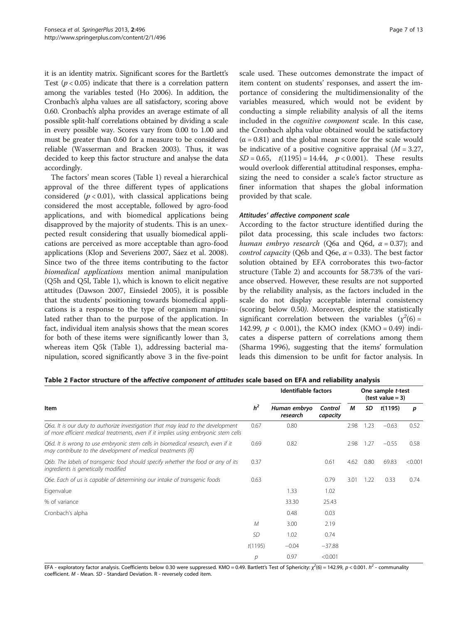<span id="page-6-0"></span>it is an identity matrix. Significant scores for the Bartlett's Test ( $p < 0.05$ ) indicate that there is a correlation pattern among the variables tested (Ho [2006](#page-11-0)). In addition, the Cronbach's alpha values are all satisfactory, scoring above 0.60. Cronbach's alpha provides an average estimate of all possible split-half correlations obtained by dividing a scale in every possible way. Scores vary from 0.00 to 1.00 and must be greater than 0.60 for a measure to be considered reliable (Wasserman and Bracken [2003\)](#page-12-0). Thus, it was decided to keep this factor structure and analyse the data accordingly.

The factors' mean scores (Table [1\)](#page-5-0) reveal a hierarchical approval of the three different types of applications considered  $(p < 0.01)$ , with classical applications being considered the most acceptable, followed by agro-food applications, and with biomedical applications being disapproved by the majority of students. This is an unexpected result considering that usually biomedical applications are perceived as more acceptable than agro-food applications (Klop and Severiens [2007,](#page-11-0) Sáez et al. [2008](#page-12-0)). Since two of the three items contributing to the factor biomedical applications mention animal manipulation (Q5h and Q5l, Table [1](#page-5-0)), which is known to elicit negative attitudes (Dawson [2007](#page-11-0), Einsiedel [2005\)](#page-11-0), it is possible that the students' positioning towards biomedical applications is a response to the type of organism manipulated rather than to the purpose of the application. In fact, individual item analysis shows that the mean scores for both of these items were significantly lower than 3, whereas item Q5k (Table [1](#page-5-0)), addressing bacterial manipulation, scored significantly above 3 in the five-point

scale used. These outcomes demonstrate the impact of item content on students' responses, and assert the importance of considering the multidimensionality of the variables measured, which would not be evident by conducting a simple reliability analysis of all the items included in the cognitive component scale. In this case, the Cronbach alpha value obtained would be satisfactory  $(\alpha = 0.81)$  and the global mean score for the scale would be indicative of a positive cognitive appraisal  $(M = 3.27)$ ,  $SD = 0.65$ ,  $t(1195) = 14.44$ ,  $p < 0.001$ ). These results would overlook differential attitudinal responses, emphasizing the need to consider a scale's factor structure as finer information that shapes the global information provided by that scale.

#### Attitudes' affective component scale

According to the factor structure identified during the pilot data processing, this scale includes two factors: human embryo research (Q6a and Q6d,  $\alpha$  = 0.37); and *control capacity* (Q6b and Q6e,  $\alpha$  = 0.33). The best factor solution obtained by EFA corroborates this two-factor structure (Table 2) and accounts for 58.73% of the variance observed. However, these results are not supported by the reliability analysis, as the factors included in the scale do not display acceptable internal consistency (scoring below 0.50). Moreover, despite the statistically significant correlation between the variables  $(\chi^2(6) =$ 142.99,  $p < 0.001$ ), the KMO index (KMO = 0.49) indicates a disperse pattern of correlations among them (Sharma [1996\)](#page-12-0), suggesting that the items' formulation leads this dimension to be unfit for factor analysis. In

| Table 2 Factor structure of the affective component of attitudes scale based on EFA and reliability analysis |  |  |
|--------------------------------------------------------------------------------------------------------------|--|--|
|--------------------------------------------------------------------------------------------------------------|--|--|

|                                                                                                                                                                        |                | <b>Identifiable factors</b> | One sample t-test<br>$(test value = 3)$ |      |      |         |         |
|------------------------------------------------------------------------------------------------------------------------------------------------------------------------|----------------|-----------------------------|-----------------------------------------|------|------|---------|---------|
| Item                                                                                                                                                                   | h <sup>2</sup> | Human embryo<br>research    | Control<br>capacity                     | М    | SD   | t(1195) | р       |
| Q6a. It is our duty to authorize investigation that may lead to the development<br>of more efficient medical treatments, even if it implies using embryonic stem cells | 0.67           | 0.80                        |                                         | 2.98 | 1.23 | $-0.63$ | 0.52    |
| Q6d. It is wrong to use embryonic stem cells in biomedical research, even if it<br>may contribute to the development of medical treatments (R)                         | 0.69           | 0.82                        |                                         | 2.98 | 1.27 | $-0.55$ | 0.58    |
| Q6b. The labels of transgenic food should specify whether the food or any of its<br>ingredients is genetically modified                                                | 0.37           |                             | 0.61                                    | 4.62 | 0.80 | 69.83   | < 0.001 |
| Q6e. Each of us is capable of determining our intake of transgenic foods                                                                                               | 0.63           |                             | 0.79                                    | 3.01 | 1.22 | 0.33    | 0.74    |
| Eigenvalue                                                                                                                                                             |                | 1.33                        | 1.02                                    |      |      |         |         |
| % of variance                                                                                                                                                          |                | 33.30                       | 25.43                                   |      |      |         |         |
| Cronbach's alpha                                                                                                                                                       |                | 0.48                        | 0.03                                    |      |      |         |         |
|                                                                                                                                                                        | М              | 3.00                        | 2.19                                    |      |      |         |         |
|                                                                                                                                                                        | <b>SD</b>      | 1.02                        | 0.74                                    |      |      |         |         |
|                                                                                                                                                                        | t(1195)        | $-0.04$                     | $-37.88$                                |      |      |         |         |
|                                                                                                                                                                        | р              | 0.97                        | < 0.001                                 |      |      |         |         |

EFA - exploratory factor analysis. Coefficients below 0.30 were suppressed. KMO = 0.49. Bartlett's Test of Sphericity: χ<sup>/</sup>(6) = 142.99, p < 0.001. h<sup>2</sup> - communality<br>coefficient M - Mean SD - Standard Deviation B - rever coefficient. M - Mean. SD - Standard Deviation. R - reversely coded item.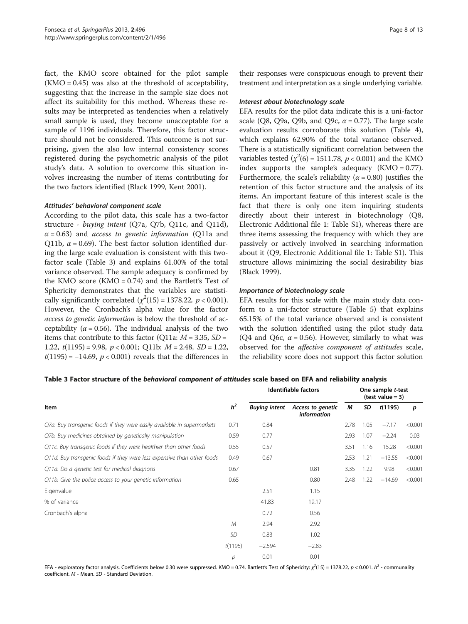<span id="page-7-0"></span>fact, the KMO score obtained for the pilot sample  $(KMO = 0.45)$  was also at the threshold of acceptability, suggesting that the increase in the sample size does not affect its suitability for this method. Whereas these results may be interpreted as tendencies when a relatively small sample is used, they become unacceptable for a sample of 1196 individuals. Therefore, this factor structure should not be considered. This outcome is not surprising, given the also low internal consistency scores registered during the psychometric analysis of the pilot study's data. A solution to overcome this situation involves increasing the number of items contributing for the two factors identified (Black [1999](#page-11-0), Kent [2001](#page-11-0)).

#### Attitudes' behavioral component scale

According to the pilot data, this scale has a two-factor structure - buying intent (Q7a, Q7b, Q11c, and Q11d),  $\alpha$  = 0.63) and *access to genetic information* (Q11a and Q11b,  $\alpha$  = 0.69). The best factor solution identified during the large scale evaluation is consistent with this twofactor scale (Table 3) and explains 61.00% of the total variance observed. The sample adequacy is confirmed by the KMO score  $(KMO = 0.74)$  and the Bartlett's Test of Sphericity demonstrates that the variables are statistically significantly correlated  $(\chi^2(15) = 1378.22, p < 0.001)$ . However, the Cronbach's alpha value for the factor access to genetic information is below the threshold of acceptability ( $\alpha$  = 0.56). The individual analysis of the two items that contribute to this factor (Q11a:  $M = 3.35$ , SD = 1.22,  $t(1195) = 9.98$ ,  $p < 0.001$ ; Q11b:  $M = 2.48$ , SD = 1.22,  $t(1195) = -14.69$ ,  $p < 0.001$ ) reveals that the differences in

their responses were conspicuous enough to prevent their treatment and interpretation as a single underlying variable.

#### Interest about biotechnology scale

EFA results for the pilot data indicate this is a uni-factor scale (Q8, Q9a, Q9b, and Q9c,  $\alpha$  = 0.77). The large scale evaluation results corroborate this solution (Table [4](#page-8-0)), which explains 62.90% of the total variance observed. There is a statistically significant correlation between the variables tested ( $\chi^2(6) = 1511.78$ ,  $p < 0.001$ ) and the KMO index supports the sample's adequacy  $(KMO = 0.77)$ . Furthermore, the scale's reliability ( $\alpha$  = 0.80) justifies the retention of this factor structure and the analysis of its items. An important feature of this interest scale is the fact that there is only one item inquiring students directly about their interest in biotechnology (Q8, Electronic Additional file [1](#page-10-0): Table S1), whereas there are three items assessing the frequency with which they are passively or actively involved in searching information about it (Q9, Electronic Additional file [1:](#page-10-0) Table S1). This structure allows minimizing the social desirability bias (Black [1999\)](#page-11-0).

#### Importance of biotechnology scale

EFA results for this scale with the main study data conform to a uni-factor structure (Table [5\)](#page-8-0) that explains 65.15% of the total variance observed and is consistent with the solution identified using the pilot study data (Q4 and Q6c,  $\alpha$  = 0.56). However, similarly to what was observed for the affective component of attitudes scale, the reliability score does not support this factor solution

#### Table 3 Factor structure of the behavioral component of attitudes scale based on EFA and reliability analysis

|                                                                         |                | Identifiable factors |                                         |      | One sample t-test<br>$(test value = 3)$ |          |         |  |
|-------------------------------------------------------------------------|----------------|----------------------|-----------------------------------------|------|-----------------------------------------|----------|---------|--|
| Item                                                                    | h <sup>2</sup> | <b>Buying intent</b> | Access to genetic<br><i>information</i> | М    | SD                                      | t(1195)  | p       |  |
| Q7a. Buy transgenic foods if they were easily available in supermarkets | 0.71           | 0.84                 |                                         | 2.78 | 1.05                                    | $-7.17$  | < 0.001 |  |
| Q7b. Buy medicines obtained by genetically manipulation                 | 0.59           | 0.77                 |                                         | 2.93 | 1.07                                    | $-2.24$  | 0.03    |  |
| Q11c. Buy transgenic foods if they were healthier than other foods      | 0.55           | 0.57                 |                                         | 3.51 | 1.16                                    | 15.28    | < 0.001 |  |
| Q11d. Buy transgenic foods if they were less expensive than other foods | 0.49           | 0.67                 |                                         | 2.53 | 1.21                                    | $-13.55$ | < 0.001 |  |
| Q11a. Do a genetic test for medical diagnosis                           | 0.67           |                      | 0.81                                    | 3.35 | 1.22                                    | 9.98     | < 0.001 |  |
| Q11b. Give the police access to your genetic information                | 0.65           |                      | 0.80                                    | 2.48 | 1.22                                    | $-14.69$ | < 0.001 |  |
| Eigenvalue                                                              |                | 2.51                 | 1.15                                    |      |                                         |          |         |  |
| % of variance                                                           |                | 41.83                | 19.17                                   |      |                                         |          |         |  |
| Cronbach's alpha                                                        |                | 0.72                 | 0.56                                    |      |                                         |          |         |  |
|                                                                         | $\mathcal M$   | 2.94                 | 2.92                                    |      |                                         |          |         |  |
|                                                                         | SD             | 0.83                 | 1.02                                    |      |                                         |          |         |  |
|                                                                         | t(1195)        | $-2.594$             | $-2.83$                                 |      |                                         |          |         |  |
|                                                                         | р              | 0.01                 | 0.01                                    |      |                                         |          |         |  |

EFA - exploratory factor analysis. Coefficients below 0.30 were suppressed. KMO = 0.74. Bartlett's Test of Sphericity: χ<sup>2</sup>(15) = 1378.22, p < 0.001. h<sup>2</sup> - communality<br>coefficient M - Mean SD - Standard Deviation coefficient. M - Mean. SD - Standard Deviation.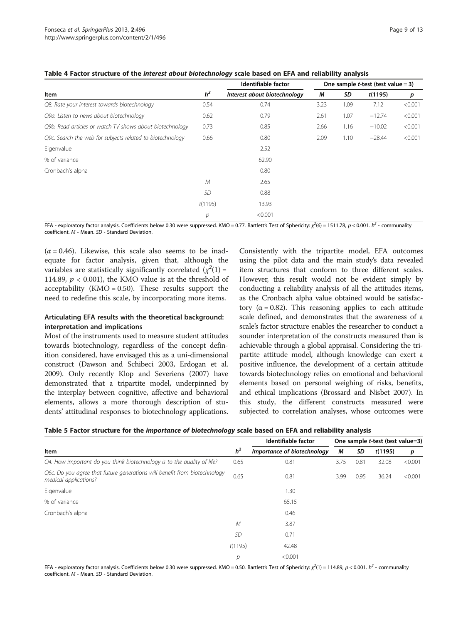| Item                                                      |                | Identifiable factor          |      | One sample <i>t</i> -test (test value = 3) |          |         |  |
|-----------------------------------------------------------|----------------|------------------------------|------|--------------------------------------------|----------|---------|--|
|                                                           |                | Interest about biotechnology | М    | SD                                         | t(1195)  | p       |  |
| Q8. Rate your interest towards biotechnology              | 0.54           | 0.74                         | 3.23 | 1.09                                       | 7.12     | < 0.001 |  |
| Q9a. Listen to news about biotechnology                   | 0.62           | 0.79                         | 2.61 | 1.07                                       | $-12.74$ | < 0.001 |  |
| Q9b. Read articles or watch TV shows about biotechnology  | 0.73           | 0.85                         | 2.66 | 1.16                                       | $-10.02$ | < 0.001 |  |
| Q9c. Search the web for subjects related to biotechnology | 0.66           | 0.80                         | 2.09 | 1.10                                       | $-28.44$ | < 0.001 |  |
| Eigenvalue                                                |                | 2.52                         |      |                                            |          |         |  |
| % of variance                                             |                | 62.90                        |      |                                            |          |         |  |
| Cronbach's alpha                                          |                | 0.80                         |      |                                            |          |         |  |
|                                                           | M              | 2.65                         |      |                                            |          |         |  |
|                                                           | <b>SD</b>      | 0.88                         |      |                                            |          |         |  |
|                                                           | t(1195)        | 13.93                        |      |                                            |          |         |  |
|                                                           | $\overline{p}$ | < 0.001                      |      |                                            |          |         |  |

<span id="page-8-0"></span>Table 4 Factor structure of the interest about biotechnology scale based on EFA and reliability analysis

EFA - exploratory factor analysis. Coefficients below 0.30 were suppressed. KMO = 0.77. Bartlett's Test of Sphericity: χ<sup>2</sup>(6) = 1511.78, p < 0.001. h<sup>2</sup> - communality<br>coefficient M - Mean SD - Standard Deviation coefficient. M - Mean. SD - Standard Deviation.

 $(\alpha = 0.46)$ . Likewise, this scale also seems to be inadequate for factor analysis, given that, although the variables are statistically significantly correlated  $(\chi^2(1) =$ 114.89,  $p < 0.001$ ), the KMO value is at the threshold of acceptability  $(KMO = 0.50)$ . These results support the need to redefine this scale, by incorporating more items.

#### Articulating EFA results with the theoretical background: interpretation and implications

Most of the instruments used to measure student attitudes towards biotechnology, regardless of the concept definition considered, have envisaged this as a uni-dimensional construct (Dawson and Schibeci [2003,](#page-11-0) Erdogan et al. [2009\)](#page-11-0). Only recently Klop and Severiens ([2007](#page-11-0)) have demonstrated that a tripartite model, underpinned by the interplay between cognitive, affective and behavioral elements, allows a more thorough description of students' attitudinal responses to biotechnology applications.

Consistently with the tripartite model, EFA outcomes using the pilot data and the main study's data revealed item structures that conform to three different scales. However, this result would not be evident simply by conducting a reliability analysis of all the attitudes items, as the Cronbach alpha value obtained would be satisfactory (α = 0.82). This reasoning applies to each attitude scale defined, and demonstrates that the awareness of a scale's factor structure enables the researcher to conduct a sounder interpretation of the constructs measured than is achievable through a global appraisal. Considering the tripartite attitude model, although knowledge can exert a positive influence, the development of a certain attitude towards biotechnology relies on emotional and behavioral elements based on personal weighing of risks, benefits, and ethical implications (Brossard and Nisbet [2007](#page-11-0)). In this study, the different constructs measured were subjected to correlation analyses, whose outcomes were

| Table 5 Factor structure for the importance of biotechnology scale based on EFA and reliability analysis |  |  |
|----------------------------------------------------------------------------------------------------------|--|--|
|                                                                                                          |  |  |

| Item                                                                                               |           | Identifiable factor         | One sample t-test (test value=3) |      |         |         |  |
|----------------------------------------------------------------------------------------------------|-----------|-----------------------------|----------------------------------|------|---------|---------|--|
|                                                                                                    |           | Importance of biotechnology | М                                | SD   | t(1195) | p       |  |
| Q4. How important do you think biotechnology is to the quality of life?                            | 0.65      | 0.81                        | 3.75                             | 0.81 | 32.08   | < 0.001 |  |
| Q6c. Do you agree that future generations will benefit from biotechnology<br>medical applications? | 0.65      | 0.81                        | 3.99                             | 0.95 | 36.24   | < 0.001 |  |
| Eigenvalue                                                                                         |           | 1.30                        |                                  |      |         |         |  |
| % of variance                                                                                      |           | 65.15                       |                                  |      |         |         |  |
| Cronbach's alpha                                                                                   |           | 0.46                        |                                  |      |         |         |  |
|                                                                                                    | M         | 3.87                        |                                  |      |         |         |  |
|                                                                                                    | <b>SD</b> | 0.71                        |                                  |      |         |         |  |
|                                                                                                    | t(1195)   | 42.48                       |                                  |      |         |         |  |
|                                                                                                    | р         | < 0.001                     |                                  |      |         |         |  |

EFA - exploratory factor analysis. Coefficients below 0.30 were suppressed. KMO = 0.50. Bartlett's Test of Sphericity: χ<sup>/</sup>(1) = 114.89, p < 0.001. h<sup>2</sup> - communality<br>coefficient M - Mean SD - Standard Deviation coefficient. M - Mean. SD - Standard Deviation.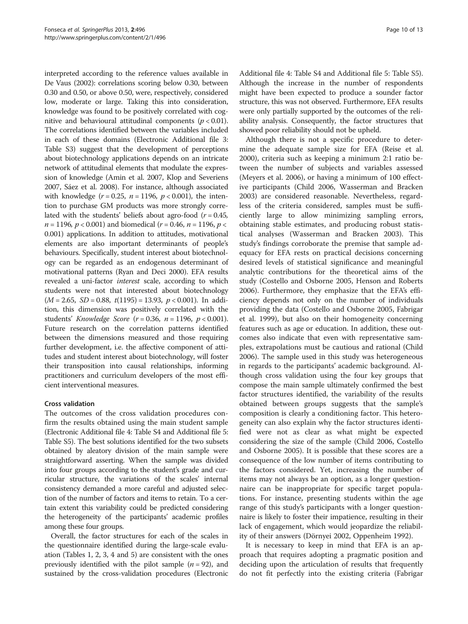interpreted according to the reference values available in De Vaus (2002): correlations scoring below 0.30, between 0.30 and 0.50, or above 0.50, were, respectively, considered low, moderate or large. Taking this into consideration, knowledge was found to be positively correlated with cognitive and behavioural attitudinal components ( $p < 0.01$ ). The correlations identified between the variables included in each of these domains (Electronic Additional file [3](#page-10-0): Table S3) suggest that the development of perceptions about biotechnology applications depends on an intricate network of attitudinal elements that modulate the expression of knowledge (Amin et al. [2007](#page-11-0), Klop and Severiens [2007,](#page-11-0) Sáez et al. [2008](#page-12-0)). For instance, although associated with knowledge  $(r = 0.25, n = 1196, p < 0.001)$ , the intention to purchase GM products was more strongly correlated with the students' beliefs about agro-food ( $r = 0.45$ ,  $n = 1196$ ,  $p < 0.001$ ) and biomedical ( $r = 0.46$ ,  $n = 1196$ ,  $p <$ 0.001) applications. In addition to attitudes, motivational elements are also important determinants of people's behaviours. Specifically, student interest about biotechnology can be regarded as an endogenous determinant of motivational patterns (Ryan and Deci [2000](#page-12-0)). EFA results revealed a uni-factor interest scale, according to which students were not that interested about biotechnology  $(M = 2.65, SD = 0.88, t(1195) = 13.93, p < 0.001)$ . In addition, this dimension was positively correlated with the students' Knowledge Score ( $r = 0.36$ ,  $n = 1196$ ,  $p < 0.001$ ). Future research on the correlation patterns identified between the dimensions measured and those requiring further development, i.e. the affective component of attitudes and student interest about biotechnology, will foster their transposition into causal relationships, informing practitioners and curriculum developers of the most efficient interventional measures.

#### Cross validation

The outcomes of the cross validation procedures confirm the results obtained using the main student sample (Electronic Additional file [4](#page-10-0): Table S4 and Additional file [5](#page-11-0): Table S5). The best solutions identified for the two subsets obtained by aleatory division of the main sample were straightforward asserting. When the sample was divided into four groups according to the student's grade and curricular structure, the variations of the scales' internal consistency demanded a more careful and adjusted selection of the number of factors and items to retain. To a certain extent this variability could be predicted considering the heterogeneity of the participants' academic profiles among these four groups.

Overall, the factor structures for each of the scales in the questionnaire identified during the large-scale evaluation (Tables [1](#page-5-0), [2](#page-6-0), [3,](#page-7-0) [4](#page-8-0) and [5](#page-8-0)) are consistent with the ones previously identified with the pilot sample  $(n = 92)$ , and sustained by the cross-validation procedures (Electronic Additional file [4:](#page-10-0) Table S4 and Additional file [5](#page-11-0): Table S5). Although the increase in the number of respondents might have been expected to produce a sounder factor structure, this was not observed. Furthermore, EFA results were only partially supported by the outcomes of the reliability analysis. Consequently, the factor structures that showed poor reliability should not be upheld.

Although there is not a specific procedure to determine the adequate sample size for EFA (Reise et al. [2000](#page-11-0)), criteria such as keeping a minimum 2:1 ratio between the number of subjects and variables assessed (Meyers et al. [2006](#page-11-0)), or having a minimum of 100 effective participants (Child [2006,](#page-11-0) Wasserman and Bracken [2003](#page-12-0)) are considered reasonable. Nevertheless, regardless of the criteria considered, samples must be sufficiently large to allow minimizing sampling errors, obtaining stable estimates, and producing robust statistical analyses (Wasserman and Bracken [2003](#page-12-0)). This study's findings corroborate the premise that sample adequacy for EFA rests on practical decisions concerning desired levels of statistical significance and meaningful analytic contributions for the theoretical aims of the study (Costello and Osborne [2005](#page-11-0), Henson and Roberts [2006](#page-11-0)). Furthermore, they emphasize that the EFA's efficiency depends not only on the number of individuals providing the data (Costello and Osborne [2005,](#page-11-0) Fabrigar et al. [1999\)](#page-11-0), but also on their homogeneity concerning features such as age or education. In addition, these outcomes also indicate that even with representative samples, extrapolations must be cautious and rational (Child [2006](#page-11-0)). The sample used in this study was heterogeneous in regards to the participants' academic background. Although cross validation using the four key groups that compose the main sample ultimately confirmed the best factor structures identified, the variability of the results obtained between groups suggests that the sample's composition is clearly a conditioning factor. This heterogeneity can also explain why the factor structures identified were not as clear as what might be expected considering the size of the sample (Child [2006,](#page-11-0) Costello and Osborne [2005](#page-11-0)). It is possible that these scores are a consequence of the low number of items contributing to the factors considered. Yet, increasing the number of items may not always be an option, as a longer questionnaire can be inappropriate for specific target populations. For instance, presenting students within the age range of this study's participants with a longer questionnaire is likely to foster their impatience, resulting in their lack of engagement, which would jeopardize the reliability of their answers (Dörnyei [2002](#page-11-0), Oppenheim [1992](#page-11-0)).

It is necessary to keep in mind that EFA is an approach that requires adopting a pragmatic position and deciding upon the articulation of results that frequently do not fit perfectly into the existing criteria (Fabrigar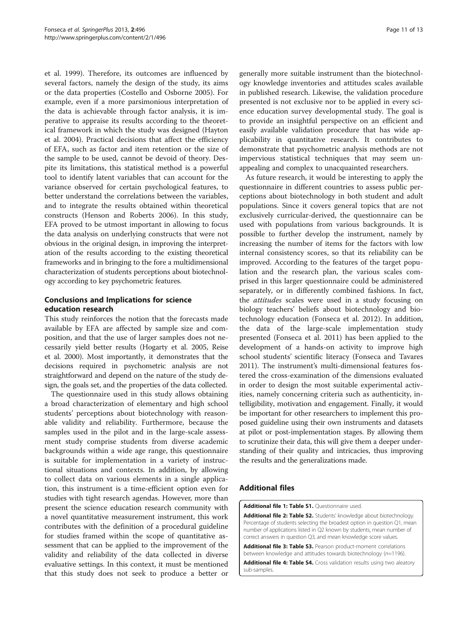<span id="page-10-0"></span>et al. [1999](#page-11-0)). Therefore, its outcomes are influenced by several factors, namely the design of the study, its aims or the data properties (Costello and Osborne [2005\)](#page-11-0). For example, even if a more parsimonious interpretation of the data is achievable through factor analysis, it is imperative to appraise its results according to the theoretical framework in which the study was designed (Hayton et al. [2004\)](#page-11-0). Practical decisions that affect the efficiency of EFA, such as factor and item retention or the size of the sample to be used, cannot be devoid of theory. Despite its limitations, this statistical method is a powerful tool to identify latent variables that can account for the variance observed for certain psychological features, to better understand the correlations between the variables, and to integrate the results obtained within theoretical constructs (Henson and Roberts [2006](#page-11-0)). In this study, EFA proved to be utmost important in allowing to focus the data analysis on underlying constructs that were not obvious in the original design, in improving the interpretation of the results according to the existing theoretical frameworks and in bringing to the fore a multidimensional characterization of students perceptions about biotechnology according to key psychometric features.

# Conclusions and Implications for science education research

This study reinforces the notion that the forecasts made available by EFA are affected by sample size and composition, and that the use of larger samples does not necessarily yield better results (Hogarty et al. [2005](#page-11-0), Reise et al. [2000](#page-11-0)). Most importantly, it demonstrates that the decisions required in psychometric analysis are not straightforward and depend on the nature of the study design, the goals set, and the properties of the data collected.

The questionnaire used in this study allows obtaining a broad characterization of elementary and high school students' perceptions about biotechnology with reasonable validity and reliability. Furthermore, because the samples used in the pilot and in the large-scale assessment study comprise students from diverse academic backgrounds within a wide age range, this questionnaire is suitable for implementation in a variety of instructional situations and contexts. In addition, by allowing to collect data on various elements in a single application, this instrument is a time-efficient option even for studies with tight research agendas. However, more than present the science education research community with a novel quantitative measurement instrument, this work contributes with the definition of a procedural guideline for studies framed within the scope of quantitative assessment that can be applied to the improvement of the validity and reliability of the data collected in diverse evaluative settings. In this context, it must be mentioned that this study does not seek to produce a better or

generally more suitable instrument than the biotechnology knowledge inventories and attitudes scales available in published research. Likewise, the validation procedure presented is not exclusive nor to be applied in every science education survey developmental study. The goal is to provide an insightful perspective on an efficient and easily available validation procedure that has wide applicability in quantitative research. It contributes to demonstrate that psychometric analysis methods are not impervious statistical techniques that may seem unappealing and complex to unacquainted researchers.

As future research, it would be interesting to apply the questionnaire in different countries to assess public perceptions about biotechnology in both student and adult populations. Since it covers general topics that are not exclusively curricular-derived, the questionnaire can be used with populations from various backgrounds. It is possible to further develop the instrument, namely by increasing the number of items for the factors with low internal consistency scores, so that its reliability can be improved. According to the features of the target population and the research plan, the various scales comprised in this larger questionnaire could be administered separately, or in differently combined fashions. In fact, the *attitudes* scales were used in a study focusing on biology teachers' beliefs about biotechnology and biotechnology education (Fonseca et al. [2012](#page-11-0)). In addition, the data of the large-scale implementation study presented (Fonseca et al. [2011](#page-11-0)) has been applied to the development of a hands-on activity to improve high school students' scientific literacy (Fonseca and Tavares [2011](#page-11-0)). The instrument's multi-dimensional features fostered the cross-examination of the dimensions evaluated in order to design the most suitable experimental activities, namely concerning criteria such as authenticity, intelligibility, motivation and engagement. Finally, it would be important for other researchers to implement this proposed guideline using their own instruments and datasets at pilot or post-implementation stages. By allowing them to scrutinize their data, this will give them a deeper understanding of their quality and intricacies, thus improving the results and the generalizations made.

#### Additional files

[Additional file 1: Table S1.](http://www.biomedcentral.com/content/supplementary/2193-1801-2-496-S1.docx) Questionnaire used.

[Additional file 2: Table S2.](http://www.biomedcentral.com/content/supplementary/2193-1801-2-496-S2.doc) Students' knowledge about biotechnology. Percentage of students selecting the broadest option in question Q1, mean number of applications listed in Q2 known by students, mean number of correct answers in question Q3, and mean knowledge score values.

[Additional file 3: Table S3.](http://www.biomedcentral.com/content/supplementary/2193-1801-2-496-S3.doc) Pearson product-moment correlations between knowledge and attitudes towards biotechnology (n=1196).

[Additional file 4: Table S4.](http://www.biomedcentral.com/content/supplementary/2193-1801-2-496-S4.doc) Cross validation results using two aleatory sub-samples.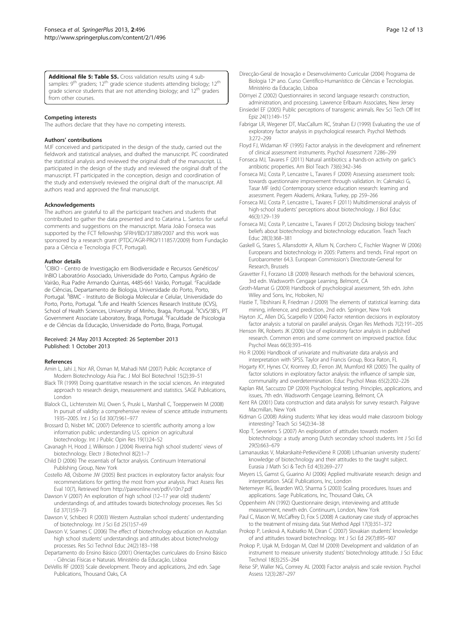#### <span id="page-11-0"></span>[Additional file 5: Table S5.](http://www.biomedcentral.com/content/supplementary/2193-1801-2-496-S5.doc) Cross validation results using 4 subsamples: 9<sup>th</sup> graders; 12<sup>th</sup> grade science students attending biology; 12<sup>th</sup> grade science students that are not attending biology; and  $12<sup>th</sup>$  graders from other courses.

#### Competing interests

The authors declare that they have no competing interests.

#### Authors' contributions

MJF conceived and participated in the design of the study, carried out the fieldwork and statistical analyses, and drafted the manuscript. PC coordinated the statistical analysis and reviewed the original draft of the manuscript. LL participated in the design of the study and reviewed the original draft of the manuscript. FT participated in the conception, design and coordination of the study and extensively reviewed the original draft of the manuscript. All authors read and approved the final manuscript.

#### Acknowledgements

The authors are grateful to all the participant teachers and students that contributed to gather the data presented and to Catarina L. Santos for useful comments and suggestions on the manuscript. Maria João Fonseca was supported by the FCT fellowship SFRH/BD/37389/2007 and this work was sponsored by a research grant (PTDC/AGR-PRO/111857/2009) from Fundação para a Ciência e Tecnologia (FCT, Portugal).

#### Author details

<sup>1</sup>CIBIO - Centro de Investigação em Biodiversidade e Recursos Genéticos/ InBIO Laboratório Associado, Universidade do Porto, Campus Agrário de Vairão, Rua Padre Armando Quintas, 4485-661 Vairão, Portugal. <sup>2</sup>Faculdade de Ciências, Departamento de Biologia, Universidade do Porto, Porto, Portugal. <sup>3</sup>IBMC - Instituto de Biologia Molecular e Celular, Universidade do Porto, Porto, Portugal. <sup>4</sup> Life and Health Sciences Research Institute (ICVS), School of Health Sciences, University of Minho, Braga, Portugal. <sup>5</sup>ICVS/3B's, PT Government Associate Laboratory, Braga, Portugal. <sup>6</sup>Faculdade de Psicologia e de Ciências da Educação, Universidade do Porto, Braga, Portugal.

#### Received: 24 May 2013 Accepted: 26 September 2013 Published: 1 October 2013

#### References

- Amin L, Jahi J, Nor AR, Osman M, Mahadi NM (2007) Public Acceptance of Modern Biotechnology Asia Pac. J Mol Biol Biotechnol 15(2):39–51
- Black TR (1999) Doing quantitative research in the social sciences. An integrated approach to research design, measurement and statistics. SAGE Publications, London
- Blalock CL, Lichtenstein MJ, Owen S, Pruski L, Marshall C, Toepperwein M (2008) In pursuit of validity: a comprehensive review of science attitude instruments 1935–2005. Int J Sci Ed 30(7):961–977
- Brossard D, Nisbet MC (2007) Deference to scientific authority among a low information public: understanding U.S. opinion on agricultural biotechnology. Int J Public Opin Res 19(1):24–52
- Cavanagh H, Hood J, Wilkinson J (2004) Riverina high school students' views of biotechnology. Electr J Biotechnol 8(2):1–7
- Child D (2006) The essentials of factor analysis. Continuum International Publishing Group, New York
- Costello AB, Osborne JW (2005) Best practices in exploratory factor analysis: four recommendations for getting the most from your analysis. Pract Assess Res Eval 10(7), Retrieved from<http://pareonline.net/pdf/v10n7.pdf>
- Dawson V (2007) An exploration of high school (12–17 year old) students' understandings of, and attitudes towards biotechnology processes. Res Sci Ed 37(1):59–73
- Dawson V, Schibeci R (2003) Western Australian school students' understanding of biotechnology. Int J Sci Ed 25(1):57–69
- Dawson V, Soames C (2006) The effect of biotechnology education on Australian high school students' understandings and attitudes about biotechnology processes. Res Sci Technol Educ 24(2):183–198
- Departamento do Ensino Básico (2001) Orientações curriculares do Ensino Básico - Ciências Físicas e Naturais. Ministério da Educação, Lisboa
- DeVellis RF (2003) Scale development. Theory and applications, 2nd edn. Sage Publications, Thousand Oaks, CA
- Direcção-Geral de Inovação e Desenvolvimento Curricular (2004) Programa de Biologia 12º ano. Curso Científico-Humanístico de Ciências e Tecnologias. Ministério da Educação, Lisboa
- Dörnyei Z (2002) Questionnaires in second language research: construction, administration, and processing. Lawrence Erlbaum Associates, New Jersey
- Einsiedel EF (2005) Public perceptions of transgenic animals. Rev Sci Tech Off Int Epiz 24(1):149–157
- Fabrigar LR, Wegener DT, MacCallum RC, Strahan EJ (1999) Evaluating the use of exploratory factor analysis in psychological research. Psychol Methods 3:272–299
- Floyd FJ, Widaman KF (1995) Factor analysis in the development and refinement of clinical assessment instruments. Psychol Assessment 7:286–299
- Fonseca MJ, Tavares F (2011) Natural antibiotics: a hands-on activity on garlic's antibiotic properties. Am Biol Teach 73(6):342–346
- Fonseca MJ, Costa P, Lencastre L, Tavares F (2009) Assessing assessment tools: towards questionnaire improvement through validation. In: Cakmakci G, Tasar MF (eds) Contemporary science education research: learning and assessment. Pegem Akademi, Ankara, Turkey, pp 259–266
- Fonseca MJ, Costa P, Lencastre L, Tavares F (2011) Multidimensional analysis of high-school students' perceptions about biotechnology. J Biol Educ 46(3):129–139
- Fonseca MJ, Costa P, Lencastre L, Tavares F (2012) Disclosing biology teachers' beliefs about biotechnology and biotechnology education. Teach Teach Educ 28(3):368–381
- Gaskell G, Stares S, Allansdottir A, Allum N, Corchero C, Fischler Wagner W (2006) Europeans and biotechnology in 2005: Patterns and trends. Final report on Eurobarometer 64.3. European Commission's Directorate-General for Research, Brussels
- Gravetter FJ, Forzano LB (2009) Research methods for the behavioral sciences, 3rd edn. Wadsworth Cengage Learning, Belmont, CA
- Groth-Marnat G (2009) Handbook of psychological assessment, 5th edn. John Wiley and Sons, Inc, Hoboken, NJ
- Hastie T, Tibshirani R, Friedman J (2009) The elements of statistical learning: data mining, inference, and prediction, 2nd edn. Springer, New York
- Hayton JC, Allen DG, Scarpello V (2004) Factor retention decisions in exploratory factor analysis: a tutorial on parallel analysis. Organ Res Methods 7(2):191–205
- Henson RK, Roberts JK (2006) Use of exploratory factor analysis in published research. Common errors and some comment on improved practice. Educ Psychol Meas 66(3):393–416
- Ho R (2006) Handbook of univariate and multivariate data analysis and interpretation with SPSS. Taylor and Francis Group, Boca Raton, FL
- Hogarty KY, Hynes CV, Kromrey JD, Ferron JM, Mumford KR (2005) The quality of factor solutions in exploratory factor analysis: the influence of sample size, communality and overdetermination. Educ Psychol Meas 65(2):202–226
- Kaplan RM, Saccuzzo DP (2009) Psychological testing. Principles, applications, and issues, 7th edn. Wadsworth Cengage Learning, Belmont, CA
- Kent RA (2001) Data construction and data analysis for survey research. Palgrave Macmillan, New York
- Kidman G (2008) Asking students: What key ideas would make classroom biology interesting? Teach Sci 54(2):34–38
- Klop T, Severiens S (2007) An exploration of attitudes towards modern biotechnology: a study among Dutch secondary school students. Int J Sci Ed 29(5):663–679
- Lamanauskas V, Makarskaitė-Petkevičienė R (2008) Lithuanian university students' knowledge of biotechnology and their attitudes to the taught subject. Eurasia J Math Sci & Tech Ed 4(3):269–277
- Meyers LS, Gamst G, Guarino AJ (2006) Applied multivariate research: design and interpretation. SAGE Publications, Inc, London
- Netemeyer RG, Bearden WO, Sharma S (2003) Scaling procedures. Issues and applications. Sage Publications, Inc, Thousand Oaks, CA
- Oppenheim AN (1992) Questionnaire design, interviewing and attitude measurement, newth edn. Continuum, London, New York
- Paul C, Mason W, McCaffrey D, Fox S (2008) A cautionary case study of approaches to the treatment of missing data. Stat Method Appl 17(3):351–372
- Prokop P, Lesková A, Kubiatko M, Diran C (2007) Slovakian students' knowledge of and attitudes toward biotechnology. Int J Sci Ed 29(7):895–907
- Prokop P, Uşak M, Erdogan M, Ozel M (2009) Development and validation of an instrument to measure university students' biotechnology attitude. J Sci Educ Technol 18(3):255–264
- Reise SP, Waller NG, Comrey AL (2000) Factor analysis and scale revision. Psychol Assess 12(3):287–297